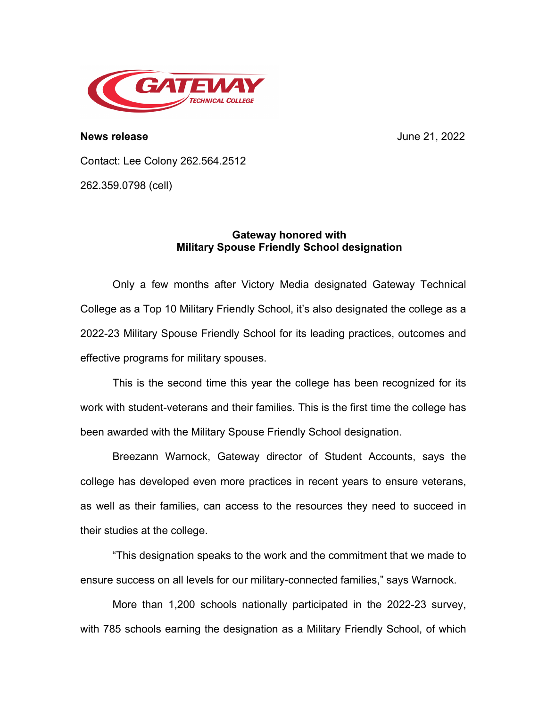

**News release** June 21, 2022

Contact: Lee Colony 262.564.2512

262.359.0798 (cell)

## **Gateway honored with Military Spouse Friendly School designation**

Only a few months after Victory Media designated Gateway Technical College as a Top 10 Military Friendly School, it's also designated the college as a 2022-23 Military Spouse Friendly School for its leading practices, outcomes and effective programs for military spouses.

This is the second time this year the college has been recognized for its work with student-veterans and their families. This is the first time the college has been awarded with the Military Spouse Friendly School designation.

Breezann Warnock, Gateway director of Student Accounts, says the college has developed even more practices in recent years to ensure veterans, as well as their families, can access to the resources they need to succeed in their studies at the college.

"This designation speaks to the work and the commitment that we made to ensure success on all levels for our military-connected families," says Warnock.

More than 1,200 schools nationally participated in the 2022-23 survey, with 785 schools earning the designation as a Military Friendly School, of which